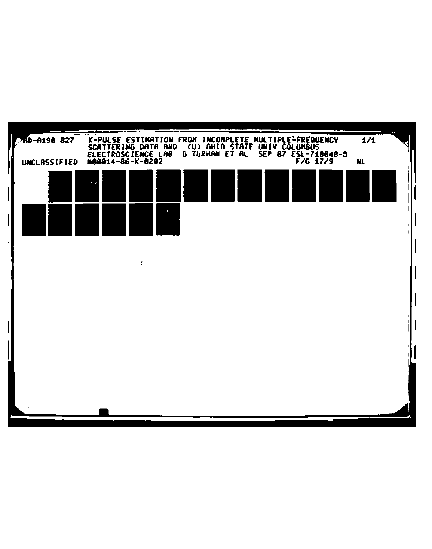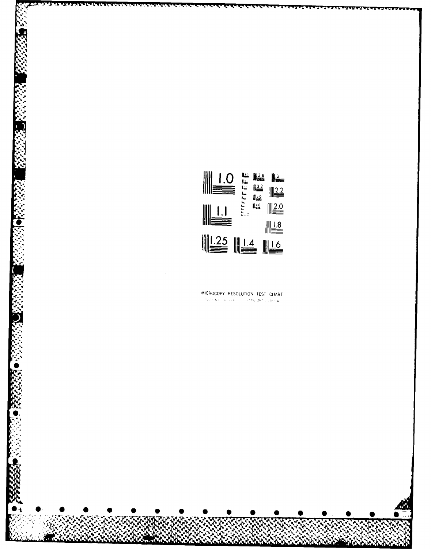

#### MICROCOPY RESOLUTION TEST CHART instrumental and constantial program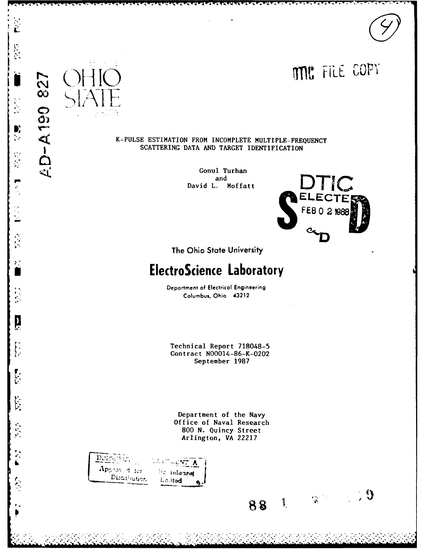

### K-PULSE ESTIMATION FROM INCOMPLETE MULTIPLE-FREQUENCY SCATTERING DATA AND TARGET IDENTIFICATION

Gonul Turhan and David L. Moffatt



 $\mathbf{3}$ 

 $\frac{1}{\sqrt{2}}\sum_{i=1}^{n}$ 

The Ohio State University

# **ElectroScience Laboratory**

Department of Electrical Engineering Columbus, Ohio 43212

Technical Report 718048-5 Contract N00014-86-K-0202 September 1987

Department of the Navy Office of Naval Research 800 N. Quincy Street Arlington, VA 22217

DISTRIBUT. WELLMARK A Approved for lic telenses Distribution Linitod

 $\hat{\mathbf{r}}$ 

Đ, ÷.

 $\sum_{i=1}^{n}$ 

 $\blacksquare$ 

Ä

 $\left\{ \begin{array}{c} 1 \\ 1 \end{array} \right.$ 

 $\begin{bmatrix} 1 \\ 1 \end{bmatrix}$ 

 $\sum_{i=1}^{n}$ 

**227** 

**AD-A190** 

 $\mathbb{R}$  $88$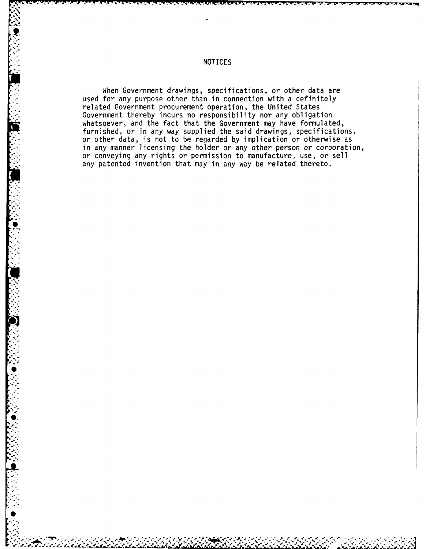When Government drawings, specifications, or other data are used for any purpose other than in connection with a definitely related Government procurement operation, the United States Government thereby incurs no responsibility nor any obligation whatsoever, and the fact that the Government may have formulated, furnished, or in any way supplied the said drawings, specifications, or other data, is not to be regarded **by** implication or otherwise as in any manner licensing the holder or any other person or corporation, or conveying any rights or permission to manufacture, use, or sell **-** any patented invention that may in any way be related thereto.

11

**A.**

**S**

**S.**

S *•*

## NOTICES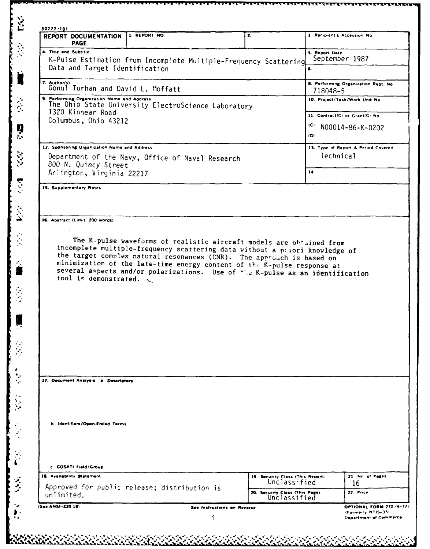| REPORT DOCUMENTATION<br><b>PAGE</b>               | 1. REPORT NO.                                                                                                                                                                                                                                                                                                                                                                            | 2. |                                                                | 3. Recipient's Accession No.         |
|---------------------------------------------------|------------------------------------------------------------------------------------------------------------------------------------------------------------------------------------------------------------------------------------------------------------------------------------------------------------------------------------------------------------------------------------------|----|----------------------------------------------------------------|--------------------------------------|
| 4. Title and Subtitle                             | K-Pulse Estimation from Incomplete Multiple-Frequency Scattering                                                                                                                                                                                                                                                                                                                         |    | 5. Report Date                                                 | September 1987                       |
|                                                   | Data and Target Identification                                                                                                                                                                                                                                                                                                                                                           |    |                                                                |                                      |
| 7. Author(s)<br>Gonul Turhan and David L. Moffatt |                                                                                                                                                                                                                                                                                                                                                                                          |    | 718048-5                                                       | 8. Performing Organization Rept. No. |
| 9. Performing Organization Name and Address       |                                                                                                                                                                                                                                                                                                                                                                                          |    |                                                                | 10. Project/Task/Work Unit No.       |
| 1320 Kinnear Road                                 | The Ohio State University ElectroScience Laboratory                                                                                                                                                                                                                                                                                                                                      |    |                                                                | 11. ContractIC) or Grant(G) No.      |
| Columbus, Ohio 43212                              |                                                                                                                                                                                                                                                                                                                                                                                          |    | (C)                                                            | N00014-86-K-0202                     |
|                                                   |                                                                                                                                                                                                                                                                                                                                                                                          |    | (G)                                                            |                                      |
| 12. Sponsoring Organization Name and Address      |                                                                                                                                                                                                                                                                                                                                                                                          |    |                                                                | 13. Type of Report & Period Covered  |
| 800 N. Quincy Street                              | Department of the Navy, Office of Naval Research                                                                                                                                                                                                                                                                                                                                         |    |                                                                | Technical                            |
| Arlington, Virginia 22217                         |                                                                                                                                                                                                                                                                                                                                                                                          |    | 14                                                             |                                      |
| 15. Supplementary Notes                           |                                                                                                                                                                                                                                                                                                                                                                                          |    |                                                                |                                      |
| 16. Abstract (Limit: 200 words)                   |                                                                                                                                                                                                                                                                                                                                                                                          |    |                                                                |                                      |
|                                                   |                                                                                                                                                                                                                                                                                                                                                                                          |    |                                                                |                                      |
| tool is demonstrated.                             | The K-pulse waveforms of realistic aircraft models are obtained from<br>incomplete multiple-frequency scattering data without a priori knowledge of<br>the target complex natural resonances (CNR). The approach is based on<br>minimization of the late-time energy content of the K-pulse response at<br>several aspects and/or polarizations. Use of ''e K-pulse as an identification |    |                                                                |                                      |
|                                                   |                                                                                                                                                                                                                                                                                                                                                                                          |    |                                                                |                                      |
| 17. Document Analysis a Descriptors               |                                                                                                                                                                                                                                                                                                                                                                                          |    |                                                                |                                      |
| b Identifiers/Open-Ended Terms                    |                                                                                                                                                                                                                                                                                                                                                                                          |    |                                                                |                                      |
| c. COSATI Field/Group                             |                                                                                                                                                                                                                                                                                                                                                                                          |    |                                                                |                                      |
| 18. Availability Statement                        |                                                                                                                                                                                                                                                                                                                                                                                          |    | 19. Security Class (This Report)                               | 21. No. of Pages                     |
| unlimited.                                        | Approved for public release; distribution is                                                                                                                                                                                                                                                                                                                                             |    | Unclassified<br>20. Security Class (This Page)<br>Unclassified | 16<br>22. Price                      |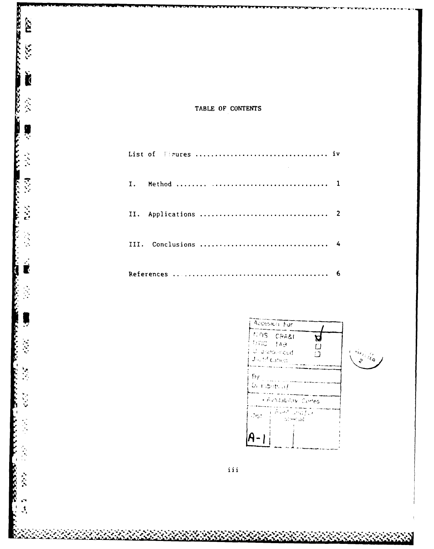### TABLE OF CONTENTS

**CELER SEALANT** È

 $\widetilde{\mathcal{K}}$ 

ļ

ŀ 

12222223

 $\mathbf{r}$  $\mathcal{A}$ 





 $\mathcal{L}(\mathcal{S})$ 

 $\mathcal{L}(\mathcal{A})$ 

iii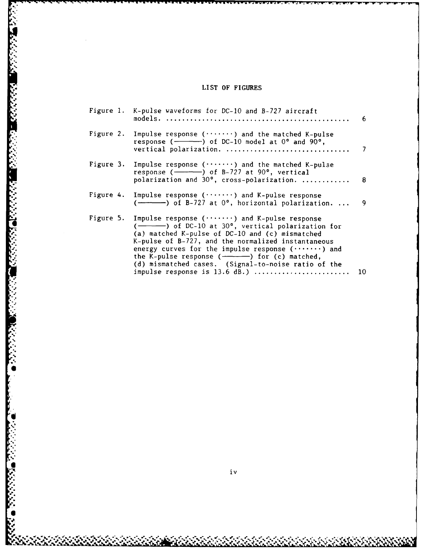# **LIST** OF **FIGURES**

|  | Figure 1. K-pulse waveforms for DC-10 and B-727 aircraft                                                                                                                                                                                                                                                                                                                                                                                                 |      |
|--|----------------------------------------------------------------------------------------------------------------------------------------------------------------------------------------------------------------------------------------------------------------------------------------------------------------------------------------------------------------------------------------------------------------------------------------------------------|------|
|  | Figure 2. Impulse response $($ ) and the matched K-pulse                                                                                                                                                                                                                                                                                                                                                                                                 |      |
|  | Figure 3. Impulse response $($ ) and the matched K-pulse<br>polarization and 30°, cross-polarization.  8                                                                                                                                                                                                                                                                                                                                                 |      |
|  | Figure 4. Impulse response $($ ) and K-pulse response<br>$(\longrightarrow)$ of B-727 at $0^{\circ}$ , horizontal polarization                                                                                                                                                                                                                                                                                                                           | - 9. |
|  | Figure 5. Impulse response $($ ) and K-pulse response<br>$(\rightarrow \rightarrow \rightarrow)$ of DC-10 at 30°, vertical polarization for<br>(a) matched K-pulse of DC-10 and (c) mismatched<br>K-pulse of B-727, and the normalized instantaneous<br>energy curves for the impulse response $($ ) and<br>the K-pulse response $($ -----) for $(c)$ matched,<br>(d) mismatched cases. (Signal-to-noise ratio of the<br>impulse response is $13.6$ dB.) | 10   |
|  |                                                                                                                                                                                                                                                                                                                                                                                                                                                          |      |

**Advisor Branch 1993/2000 Parameter 1993/2000** 

**ALSEY** 

 $\bar{z}$ 

**'**

Ķ.

 $\mathbf{v}$ 

**ز - ز - ز د ز - ز**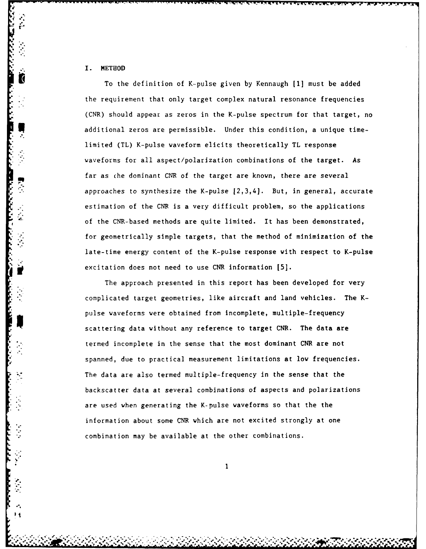### I. METHOD

Ю

To the definition of K-pulse given **by** Kennaugh **[I]** must be added the requirement that only target complex natural resonance frequencies (CNR) should appear as zeros in the K-pulse spectrum for that target, no additional zeros are permissible. Under this condition, a unique timelimited (TL) K-pulse waveform elicits theoretically TL response waveforms for all aspect/polarization combinations of the target. As far as che dominant CNR of the target are known, there are several approaches to synthesize the K-pulse  $[2,3,4]$ . But, in general, accurate estimation of the **CNR is** a very difficult problem, so the applications of the CNR-based methods are quite limited. It has been demonstrated, for geometrically simple targets, that the method of minimization of the late-time energy content of the K-pulse response with respect to K-pulse excitation does not need to use CNR information **15].**

The approach presented in this report has been developed for very complicated target geometries, like aircraft and land vehicles. The Kpulse waveforms were obtained from incomplete, multiple-frequency scattering data without any reference to target CNR. The data are termed incomplete in the sense that the most dominant CNR are not spanned, due to practical measurement limitations at low frequencies. The data are also termed multiple-frequency in the sense that the backscatter data at several combinations of aspects and polarizations are used when generating the K-pulse waveforms so that the the information about some CNR which are not excited strongly at one combination may be available at the other combinations.

 $\mathbf{1}$ 

**............. @.......** *.. . . .... , . .. . \_. . .'..-o. .* ~~ *. . ,,.:. . . . % i j .e ..*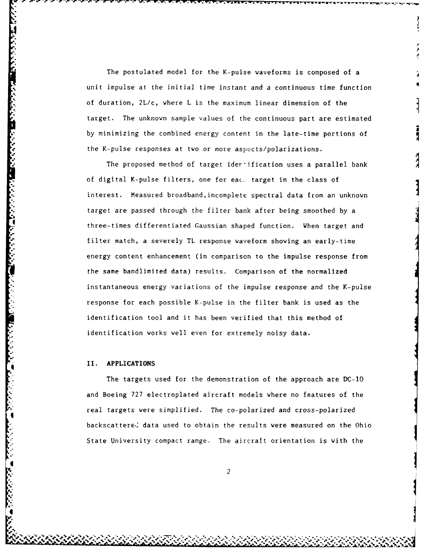The postulated model for the K-pulse waveforms is composed of a unit impulse at the initial time instant and a continuous time function of duration,  $2L/c$ , where L is the maximum linear dimension of the target. The unknown sample values of the continuous part are estimated by minimizing the combined energy content in the late-time portions of the K-pulse responses at two or more aspects/polarizations.

The proposed method of target ider-ification uses a parallel bank of digital K-pulse filters, one for eac,. target in the class of interest. Measured broadband,incomplete spectral data from an unknown target are passed through the filter bank after being smoothed by a **4** three-times differentiated Gaussian shaped function. When target and filter match, a severely TL response waveform showing an early-time energy content enhancement (in comparison to the impulse response from the same bandlimited data) results. Comparison of the normalized instantaneous energy variations of the impulse response and the K-pulse response for each possible K-pulse in the filter bank is used as the identification tool and it has been verified that this method of identification works well even for extremely noisy data.

### II. **APPLICATIONS**

**.1** + • ,m+ + " **%** % - - - - - - " , - - **\* w** " "

The targets used for the demonstration of the approach are DC-1O and Boeing 727 electroplated aircraft models where no features of the real targets were simplified. The co-polarized and cross-polarized backscattere,' data used to obtain the results were measured on the Ohio State University compact range. The aircraft orientation is with the

 $\sim$  2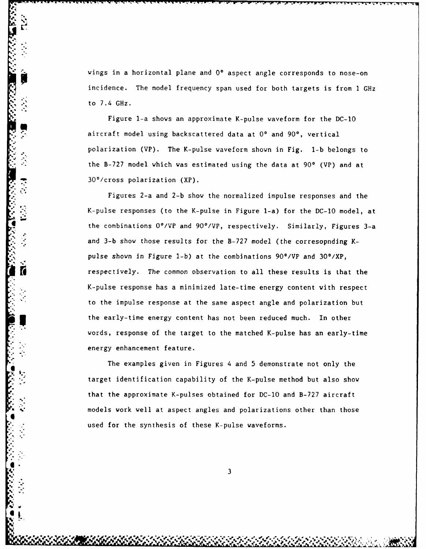wings in a horizontal plane and 0° aspect angle corresponds to nose-on incidence. The model frequency span used for both targets is from **I** GHz to 7.4 GHz.

Figure 1-a shows an approximate K-pulse waveform for the **DC-1O** aircraft model using backscattered data at **0\*** and **90\*,** vertical polarization (VP). The K-pulse waveform shown in Fig. **1-b** belongs to the B-727 model which was estimated using the data at 90° (VP) and at 30\*/cross polarization (XP).

**\*,** Figures 2-a and **2-b** show the normalized impulse responses and the **.**P2.K-pulse **,** responses (to the K-pulse in Figure 1-a) for the **DC-10** model, at the combinations 0°/VP and 90°/VP, respectively. Similarly, Figures 3-a and **3-b** show those results for the **B-727** model (the corresopnding Kpulse shown in Figure 1-b) at the combinations 90°/VP and 30°/XP, respectively. The common observation to all these results is that the K-pulse response has a minimized late-time energy content with respect to the impulse response at the same aspect angle and polarization but the early-time energy content has not been reduced much. In other words, response of the target to the matched K-pulse has an early-time energy enhancement feature.

The examples given in Figures 4 and **5** demonstrate not only the target identification capability of the K-pulse method but also show that the approximate K-pulses obtained for **DC-10** and **B-727** aircraft models work well at aspect angles and polarizations other than those used for the synthesis of these K-pulse waveforms.

**4 3**

*of* **0 ", I**

**l'I**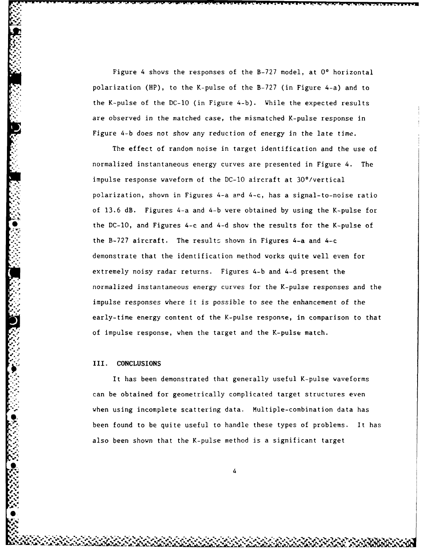Figure 4 shows the responses of the **B-727** model, at **00** horizontal polarization (HP), to the K-pulse of the **B-727** (in Figure 4-a) and to the K-pulse of the **DC-10** (in Figure 4-b). While the expected results are observed in the matched case, the mismatched K-pulse response in Figure 4-b does not show any reduction of energy in the late time.

The effect of random noise in target identification and the use of normalized instantaneous energy curves are presented in Figure 4. The impulse response waveform of the **DC-10** aircraft at 30°/vertical polarization, shown in Figures 4-a **ard** 4-c, has a signal-to-noise ratio of **13.6** dB. Figures 4-a and 4-b were obtained **by** using the K-pulse for the DC-10, and Figures 4-c and 4-d show the results for the K-pulse of the B-727 aircraft. The results shown in Figures 4-a and 4-c demonstrate that the identification method works quite well even for extremely noisy radar returns. Figures 4-b and 4-d present the normalized instantaneous energy curves for the K-pulse responses and the impulse responses where it is possible to see the enhancement of the early-time energy content of the K-pulse response, in comparison to that of impulse response, when the target and the K-pulse match.

### III. **CONCLUSIONS**

It has been demonstrated that generally useful K-pulse waveforms can be obtained for geometrically complicated target structures even when using incomplete scattering data. Multiple-combination data has **.** been found to be quite useful to handle these types of problems. It has also been shown that the K-pulse method is a significant target

4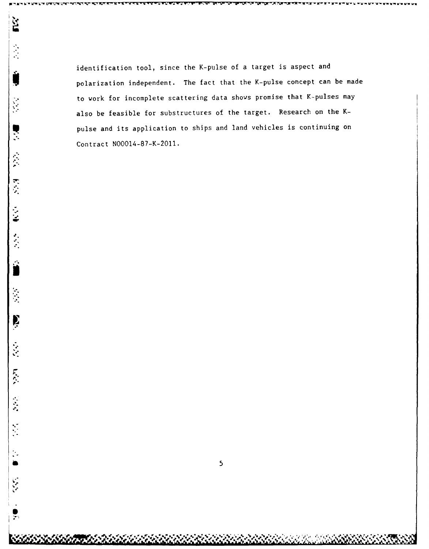identification tool, since the K-pulse of a target is aspect and polarization independent. The fact that the K-pulse concept can be made to work for incomplete scattering data shows promise that K-pulses may also be feasible for substructures of the target. Research on the Kpulse and its application to ships and land vehicles is continuing on Contract N00014-87-K-2011.

**,**

 $\mathcal{L}$ 1

P

**Fact** 

 $\ddot{\ddot{\cdot}}$ 

<u>ម</u>

ý

**6**

**M. W** \* **W- W- -**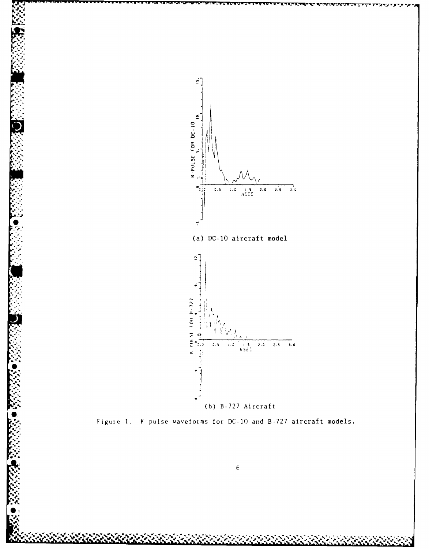

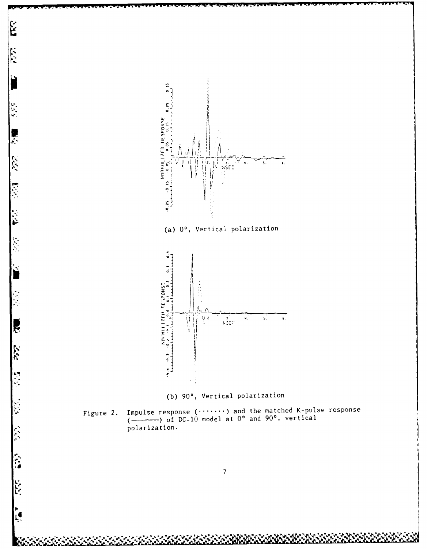

 $\mathbb{E}$ 

 $\mathbb{E}$ 

大师

**ite** 

**East** 

Ę

 $\tilde{\mathbf{z}}$ 

 $\sqrt{2}$ 

**Expert** 

**ESS** 

į6

Figure 2. Impulse response  $(\cdot \cdot \cdot \cdot \cdot \cdot)$  and the matched K-pulse response  $(\frac{1}{\cdot \cdot \cdot})$  of DC-10 model at 0° and 90°, vertical polarization.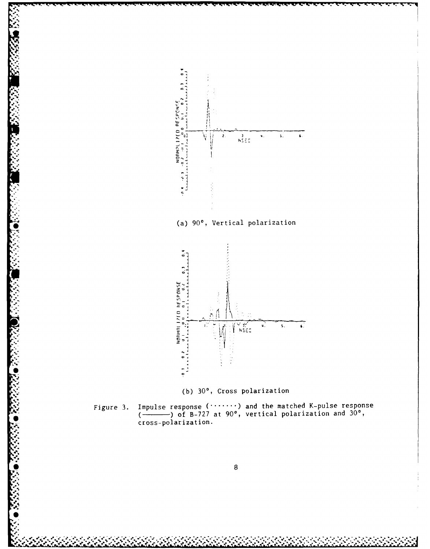



Impulse response  $(\cdots \cdots)$  and the matched K-pulse response  $(\overline{\phantom{a}})$  of B-727 at 90°, vertical polarization and 30°, cross-polarization. Figure 3.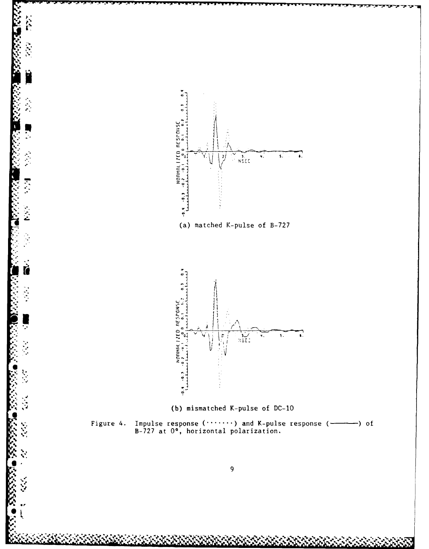

**RE** 

É

Ţ

Š

V.<br>Vi

م<br>مراجع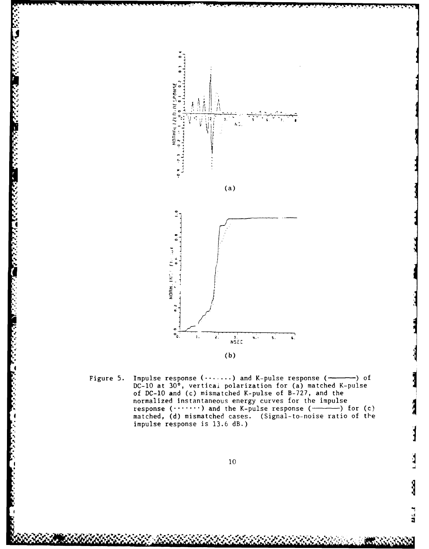

AN SEERS AND ANGELERY

تتخف والمتعارض والمحالي والمتعارض

Figure 5. Impulse response  $(\cdots \cdots)$  and K-pulse response  $(\rightarrow)$  of DC-10 at 30°, vertical polarization for (a) matched K-pulse<br>of DC-10 and (c) mismatched K-pulse of B-727, and the normalized instantaneous energy curves for the impulse response (.......) and the K-pulse response (- $-$ ) for (c) matched, (d) mismatched cases. (Signal-to-noise ratio of the impulse response is 13.6 dB.)

ں<br>تا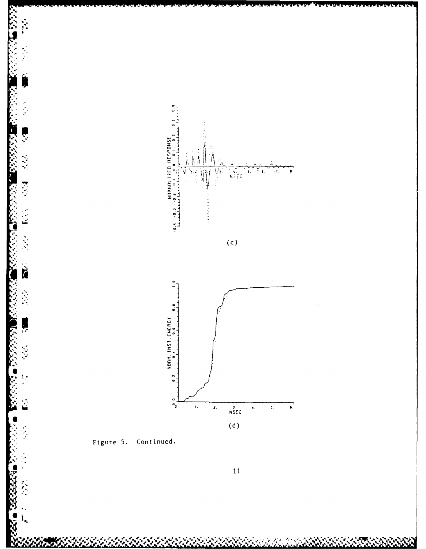

Figure 5. Continued.

 $\frac{1}{2}$ 

ļ

Ļ

 $\mathcal{F}(\mathcal{A})$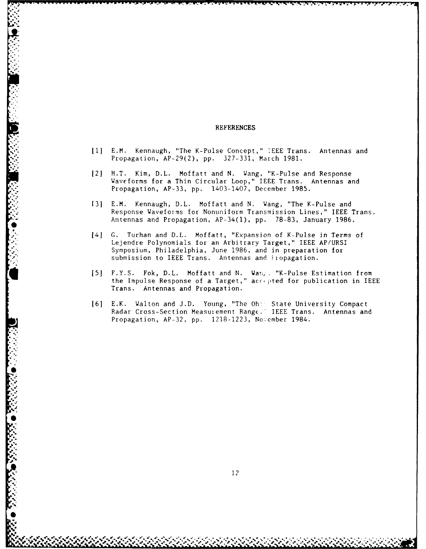### **REFERENCES**

- **[1]** E.M. Kennaugh, "The K-Pulse Concept," **IEEE** Trans. Antennas and Propagation, **AP-29(2), pp. 327-331,** March **1981.**
- 121 H.T. Kim, D.L. Moffatt and **N.** Wang, "K-Pulse and Response Waveforms for a Thin Circular Loop," **IEEE** Trans. Antennas and Propagation, **AP-33, pp.** 1403-1407, December **1985.**
- **(31** E.M. Kennaugh, D.L. Moffatt and **N.** Wang, "The K-Pulse and **\*.** Response Waveforms for Nonuniform Transmission Lines," **IEEE** Trans. Antennas and Propagation, AP-34(l), **pp. 78-83,** January **1986.**
- 141 **G.** Turhan and D.L. Moffatt, "Expansion of K-Pulse in Terms of Lejendre Polynomials for an Arbitrary Target," IEEE AP/URSI Symposium, Philadelphia, June **1986,** and in preparation for submission to IEEE Trans. Antennas and liopagation.
- **[5** F.Y.S. Fok, D.L. Moffatt and **N. War,.** "K-Pulse Estimation from the Impulse Response of a Target," accepted for publication in IEEE Trans. Antennas and Propagation.
- **161** E.K. Walton and **J.D.** Young, "The Oh: State University Compact Radar Cross-Section Measurement RangE. IEEE Trans. Antennas and Propagation, **AP-32, pp. 1218-1223,** November 1984.

MAN ORANG O KANANG KANANG O